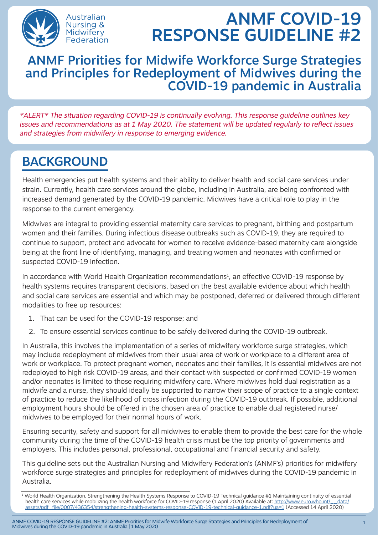

# ANMF COVID-19 RESPONSE GUIDELINE #2

### ANMF Priorities for Midwife Workforce Surge Strategies and Principles for Redeployment of Midwives during the COVID-19 pandemic in Australia

\*ALERT\* The situation regarding COVID-19 is continually evolving. This response guideline outlines key issues and recommendations as at 1 May 2020. The statement will be updated regularly to reflect issues and strategies from midwifery in response to emerging evidence.

## BACKGROUND

Health emergencies put health systems and their ability to deliver health and social care services under strain. Currently, health care services around the globe, including in Australia, are being confronted with increased demand generated by the COVID-19 pandemic. Midwives have a critical role to play in the response to the current emergency.

Midwives are integral to providing essential maternity care services to pregnant, birthing and postpartum women and their families. During infectious disease outbreaks such as COVID-19, they are required to continue to support, protect and advocate for women to receive evidence-based maternity care alongside being at the front line of identifying, managing, and treating women and neonates with confirmed or suspected COVID-19 infection.

In accordance with World Health Organization recommendations<sup>1</sup>, an effective COVID-19 response by health systems requires transparent decisions, based on the best available evidence about which health and social care services are essential and which may be postponed, deferred or delivered through different modalities to free up resources:

- 1. That can be used for the COVID-19 response; and
- 2. To ensure essential services continue to be safely delivered during the COVID-19 outbreak.

In Australia, this involves the implementation of a series of midwifery workforce surge strategies, which may include redeployment of midwives from their usual area of work or workplace to a different area of work or workplace. To protect pregnant women, neonates and their families, it is essential midwives are not redeployed to high risk COVID-19 areas, and their contact with suspected or confirmed COVID-19 women and/or neonates is limited to those requiring midwifery care. Where midwives hold dual registration as a midwife and a nurse, they should ideally be supported to narrow their scope of practice to a single context of practice to reduce the likelihood of cross infection during the COVID-19 outbreak. If possible, additional employment hours should be offered in the chosen area of practice to enable dual registered nurse/ midwives to be employed for their normal hours of work.

Ensuring security, safety and support for all midwives to enable them to provide the best care for the whole community during the time of the COVID-19 health crisis must be the top priority of governments and employers. This includes personal, professional, occupational and financial security and safety.

This guideline sets out the Australian Nursing and Midwifery Federation's (ANMF's) priorities for midwifery workforce surge strategies and principles for redeployment of midwives during the COVID-19 pandemic in Australia.

<sup>1</sup> World Health Organization. Strengthening the Health Systems Response to COVID-19 Technical guidance #1 Maintaining continuity of essential health care services while mobilizing the health workforce for COVID-19 response (1 April 2020) Available at: http://www.euro.who.int/ data/ [assets/pdf\\_file/0007/436354/strengthening-health-systems-response-COVID-19-technical-guidance-1.pdf?ua=1](http://www.euro.who.int/__data/assets/pdf_file/0007/436354/strengthening-health-systems-response-COVID-19-technical-guidance-1.pdf?ua=1) (Accessed 14 April 2020)